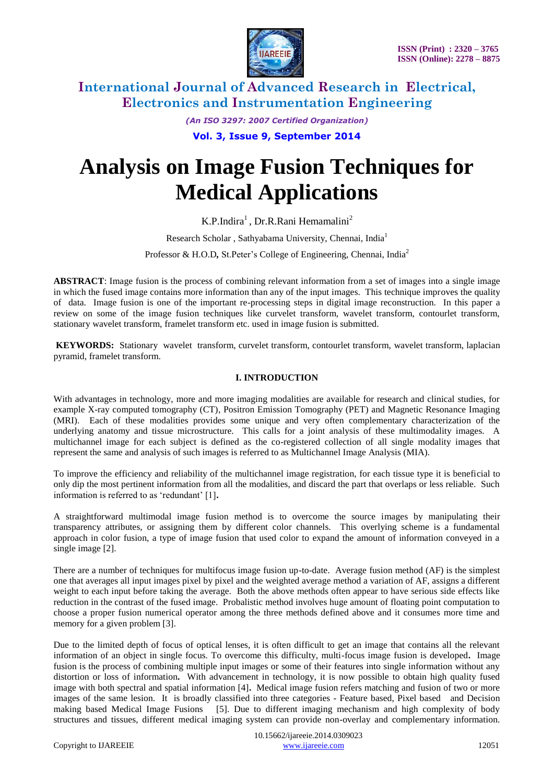

*(An ISO 3297: 2007 Certified Organization)*

**Vol. 3, Issue 9, September 2014**

# **Analysis on Image Fusion Techniques for Medical Applications**

K.P.Indira<sup>1</sup>, Dr.R.Rani Hemamalini<sup>2</sup>

Research Scholar , Sathyabama University, Chennai, India<sup>1</sup>

Professor & H.O.D, St.Peter's College of Engineering, Chennai, India<sup>2</sup>

**ABSTRACT**: Image fusion is the process of combining relevant information from a set of images into a single image in which the fused image contains more information than any of the input images. This technique improves the quality of data. Image fusion is one of the important re-processing steps in digital image reconstruction. In this paper a review on some of the image fusion techniques like curvelet transform, wavelet transform, contourlet transform, stationary wavelet transform, framelet transform etc. used in image fusion is submitted.

**KEYWORDS:** Stationary wavelet transform, curvelet transform, contourlet transform, wavelet transform, laplacian pyramid, framelet transform.

### **I. INTRODUCTION**

With advantages in technology, more and more imaging modalities are available for research and clinical studies, for example X-ray computed tomography (CT), Positron Emission Tomography (PET) and Magnetic Resonance Imaging (MRI). Each of these modalities provides some unique and very often complementary characterization of the underlying anatomy and tissue microstructure. This calls for a joint analysis of these multimodality images. A multichannel image for each subject is defined as the co-registered collection of all single modality images that represent the same and analysis of such images is referred to as Multichannel Image Analysis (MIA).

To improve the efficiency and reliability of the multichannel image registration, for each tissue type it is beneficial to only dip the most pertinent information from all the modalities, and discard the part that overlaps or less reliable. Such information is referred to as "redundant" [1]**.**

A straightforward multimodal image fusion method is to overcome the source images by manipulating their transparency attributes, or assigning them by different color channels. This overlying scheme is a fundamental approach in color fusion, a type of image fusion that used color to expand the amount of information conveyed in a single image [2].

There are a number of techniques for multifocus image fusion up-to-date. Average fusion method (AF) is the simplest one that averages all input images pixel by pixel and the weighted average method a variation of AF, assigns a different weight to each input before taking the average. Both the above methods often appear to have serious side effects like reduction in the contrast of the fused image. Probalistic method involves huge amount of floating point computation to choose a proper fusion numerical operator among the three methods defined above and it consumes more time and memory for a given problem [3].

Due to the limited depth of focus of optical lenses, it is often difficult to get an image that contains all the relevant information of an object in single focus. To overcome this difficulty, multi-focus image fusion is developed**.** Image fusion is the process of combining multiple input images or some of their features into single information without any distortion or loss of information**.** With advancement in technology, it is now possible to obtain high quality fused image with both spectral and spatial information [4]**.** Medical image fusion refers matching and fusion of two or more images of the same lesion. It is broadly classified into three categories - Feature based, Pixel based and Decision making based Medical Image Fusions [5]. Due to different imaging mechanism and high complexity of body structures and tissues, different medical imaging system can provide non-overlay and complementary information.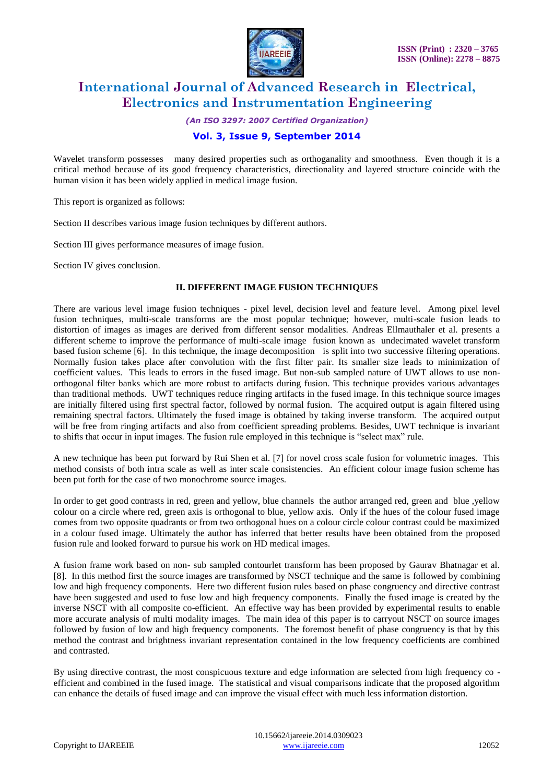

*(An ISO 3297: 2007 Certified Organization)*

### **Vol. 3, Issue 9, September 2014**

Wavelet transform possesses many desired properties such as orthoganality and smoothness. Even though it is a critical method because of its good frequency characteristics, directionality and layered structure coincide with the human vision it has been widely applied in medical image fusion.

This report is organized as follows:

Section II describes various image fusion techniques by different authors.

Section III gives performance measures of image fusion.

Section IV gives conclusion.

#### **II. DIFFERENT IMAGE FUSION TECHNIQUES**

There are various level image fusion techniques - pixel level, decision level and feature level. Among pixel level fusion techniques, multi-scale transforms are the most popular technique; however, multi-scale fusion leads to distortion of images as images are derived from different sensor modalities. Andreas Ellmauthaler et al. presents a different scheme to improve the performance of multi-scale image fusion known as undecimated wavelet transform based fusion scheme [6]. In this technique, the image decomposition is split into two successive filtering operations. Normally fusion takes place after convolution with the first filter pair. Its smaller size leads to minimization of coefficient values. This leads to errors in the fused image. But non-sub sampled nature of UWT allows to use nonorthogonal filter banks which are more robust to artifacts during fusion. This technique provides various advantages than traditional methods. UWT techniques reduce ringing artifacts in the fused image. In this technique source images are initially filtered using first spectral factor, followed by normal fusion. The acquired output is again filtered using remaining spectral factors. Ultimately the fused image is obtained by taking inverse transform. The acquired output will be free from ringing artifacts and also from coefficient spreading problems. Besides, UWT technique is invariant to shifts that occur in input images. The fusion rule employed in this technique is "select max" rule.

A new technique has been put forward by Rui Shen et al. [7] for novel cross scale fusion for volumetric images. This method consists of both intra scale as well as inter scale consistencies. An efficient colour image fusion scheme has been put forth for the case of two monochrome source images.

In order to get good contrasts in red, green and yellow, blue channels the author arranged red, green and blue ,yellow colour on a circle where red, green axis is orthogonal to blue, yellow axis. Only if the hues of the colour fused image comes from two opposite quadrants or from two orthogonal hues on a colour circle colour contrast could be maximized in a colour fused image. Ultimately the author has inferred that better results have been obtained from the proposed fusion rule and looked forward to pursue his work on HD medical images.

A fusion frame work based on non- sub sampled contourlet transform has been proposed by Gaurav Bhatnagar et al. [8]. In this method first the source images are transformed by NSCT technique and the same is followed by combining low and high frequency components. Here two different fusion rules based on phase congruency and directive contrast have been suggested and used to fuse low and high frequency components. Finally the fused image is created by the inverse NSCT with all composite co-efficient. An effective way has been provided by experimental results to enable more accurate analysis of multi modality images. The main idea of this paper is to carryout NSCT on source images followed by fusion of low and high frequency components. The foremost benefit of phase congruency is that by this method the contrast and brightness invariant representation contained in the low frequency coefficients are combined and contrasted.

By using directive contrast, the most conspicuous texture and edge information are selected from high frequency co efficient and combined in the fused image. The statistical and visual comparisons indicate that the proposed algorithm can enhance the details of fused image and can improve the visual effect with much less information distortion.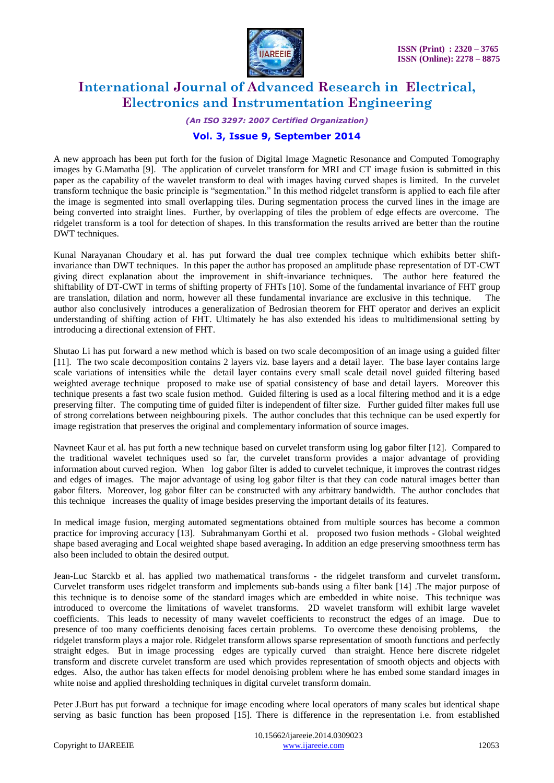

*(An ISO 3297: 2007 Certified Organization)*

### **Vol. 3, Issue 9, September 2014**

A new approach has been put forth for the fusion of Digital Image Magnetic Resonance and Computed Tomography images by G.Mamatha [9]. The application of curvelet transform for MRI and CT image fusion is submitted in this paper as the capability of the wavelet transform to deal with images having curved shapes is limited. In the curvelet transform technique the basic principle is "segmentation." In this method ridgelet transform is applied to each file after the image is segmented into small overlapping tiles. During segmentation process the curved lines in the image are being converted into straight lines. Further, by overlapping of tiles the problem of edge effects are overcome. The ridgelet transform is a tool for detection of shapes. In this transformation the results arrived are better than the routine DWT techniques.

Kunal Narayanan Choudary et al. has put forward the dual tree complex technique which exhibits better shiftinvariance than DWT techniques. In this paper the author has proposed an amplitude phase representation of DT-CWT giving direct explanation about the improvement in shift-invariance techniques. The author here featured the shiftability of DT-CWT in terms of shifting property of FHTs [10]. Some of the fundamental invariance of FHT group are translation, dilation and norm, however all these fundamental invariance are exclusive in this technique. The author also conclusively introduces a generalization of Bedrosian theorem for FHT operator and derives an explicit understanding of shifting action of FHT. Ultimately he has also extended his ideas to multidimensional setting by introducing a directional extension of FHT.

Shutao Li has put forward a new method which is based on two scale decomposition of an image using a guided filter [11].The two scale decomposition contains 2 layers viz. base layers and a detail layer. The base layer contains large scale variations of intensities while the detail layer contains every small scale detail novel guided filtering based weighted average technique proposed to make use of spatial consistency of base and detail layers. Moreover this technique presents a fast two scale fusion method. Guided filtering is used as a local filtering method and it is a edge preserving filter. The computing time of guided filter is independent of filter size. Further guided filter makes full use of strong correlations between neighbouring pixels. The author concludes that this technique can be used expertly for image registration that preserves the original and complementary information of source images.

Navneet Kaur et al. has put forth a new technique based on curvelet transform using log gabor filter [12].Compared to the traditional wavelet techniques used so far, the curvelet transform provides a major advantage of providing information about curved region. When log gabor filter is added to curvelet technique, it improves the contrast ridges and edges of images. The major advantage of using log gabor filter is that they can code natural images better than gabor filters. Moreover, log gabor filter can be constructed with any arbitrary bandwidth. The author concludes that this technique increases the quality of image besides preserving the important details of its features.

In medical image fusion, merging automated segmentations obtained from multiple sources has become a common practice for improving accuracy [13].Subrahmanyam Gorthi et al. proposed two fusion methods - Global weighted shape based averaging and Local weighted shape based averaging**.** In addition an edge preserving smoothness term has also been included to obtain the desired output.

Jean-Luc Starckb et al. has applied two mathematical transforms - the ridgelet transform and curvelet transform**.**  Curvelet transform uses ridgelet transform and implements sub-bands using a filter bank [14] .The major purpose of this technique is to denoise some of the standard images which are embedded in white noise. This technique was introduced to overcome the limitations of wavelet transforms. 2D wavelet transform will exhibit large wavelet coefficients. This leads to necessity of many wavelet coefficients to reconstruct the edges of an image. Due to presence of too many coefficients denoising faces certain problems. To overcome these denoising problems, the ridgelet transform plays a major role. Ridgelet transform allows sparse representation of smooth functions and perfectly straight edges. But in image processing edges are typically curved than straight. Hence here discrete ridgelet transform and discrete curvelet transform are used which provides representation of smooth objects and objects with edges. Also, the author has taken effects for model denoising problem where he has embed some standard images in white noise and applied thresholding techniques in digital curvelet transform domain.

Peter J.Burt has put forward a technique for image encoding where local operators of many scales but identical shape serving as basic function has been proposed [15]. There is difference in the representation i.e. from established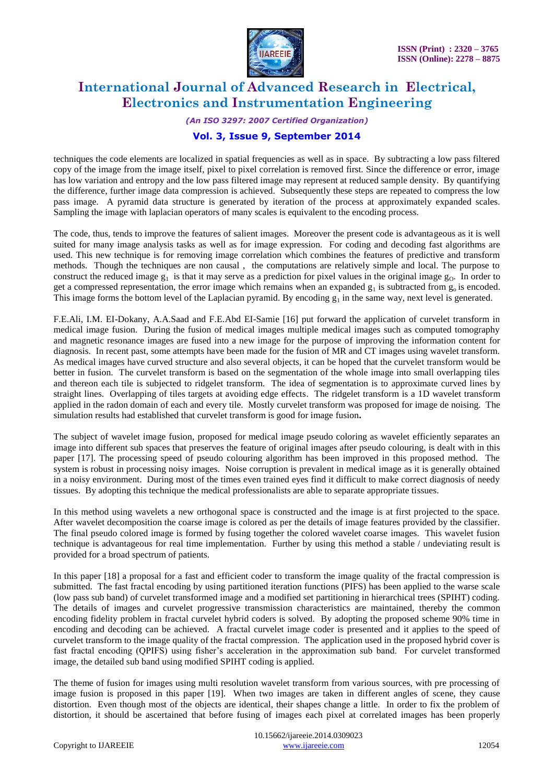

#### *(An ISO 3297: 2007 Certified Organization)*

### **Vol. 3, Issue 9, September 2014**

techniques the code elements are localized in spatial frequencies as well as in space. By subtracting a low pass filtered copy of the image from the image itself, pixel to pixel correlation is removed first. Since the difference or error, image has low variation and entropy and the low pass filtered image may represent at reduced sample density. By quantifying the difference, further image data compression is achieved. Subsequently these steps are repeated to compress the low pass image. A pyramid data structure is generated by iteration of the process at approximately expanded scales. Sampling the image with laplacian operators of many scales is equivalent to the encoding process.

The code, thus, tends to improve the features of salient images. Moreover the present code is advantageous as it is well suited for many image analysis tasks as well as for image expression. For coding and decoding fast algorithms are used. This new technique is for removing image correlation which combines the features of predictive and transform methods. Though the techniques are non causal , the computations are relatively simple and local. The purpose to construct the reduced image  $g_1$  is that it may serve as a prediction for pixel values in the original image  $g_0$ . In order to get a compressed representation, the error image which remains when an expanded  $g_1$  is subtracted from  $g_0$  is encoded. This image forms the bottom level of the Laplacian pyramid. By encoding  $g_1$  in the same way, next level is generated.

F.E.Ali, I.M. EI-Dokany, A.A.Saad and F.E.Abd EI-Samie [16] put forward the application of curvelet transform in medical image fusion. During the fusion of medical images multiple medical images such as computed tomography and magnetic resonance images are fused into a new image for the purpose of improving the information content for diagnosis. In recent past, some attempts have been made for the fusion of MR and CT images using wavelet transform. As medical images have curved structure and also several objects, it can be hoped that the curvelet transform would be better in fusion. The curvelet transform is based on the segmentation of the whole image into small overlapping tiles and thereon each tile is subjected to ridgelet transform. The idea of segmentation is to approximate curved lines by straight lines. Overlapping of tiles targets at avoiding edge effects. The ridgelet transform is a 1D wavelet transform applied in the radon domain of each and every tile. Mostly curvelet transform was proposed for image de noising. The simulation results had established that curvelet transform is good for image fusion**.** 

The subject of wavelet image fusion, proposed for medical image pseudo coloring as wavelet efficiently separates an image into different sub spaces that preserves the feature of original images after pseudo colouring, is dealt with in this paper [17]. The processing speed of pseudo colouring algorithm has been improved in this proposed method. The system is robust in processing noisy images. Noise corruption is prevalent in medical image as it is generally obtained in a noisy environment. During most of the times even trained eyes find it difficult to make correct diagnosis of needy tissues. By adopting this technique the medical professionalists are able to separate appropriate tissues.

In this method using wavelets a new orthogonal space is constructed and the image is at first projected to the space. After wavelet decomposition the coarse image is colored as per the details of image features provided by the classifier. The final pseudo colored image is formed by fusing together the colored wavelet coarse images. This wavelet fusion technique is advantageous for real time implementation. Further by using this method a stable / undeviating result is provided for a broad spectrum of patients.

In this paper [18] a proposal for a fast and efficient coder to transform the image quality of the fractal compression is submitted. The fast fractal encoding by using partitioned iteration functions (PIFS) has been applied to the warse scale (low pass sub band) of curvelet transformed image and a modified set partitioning in hierarchical trees (SPIHT) coding. The details of images and curvelet progressive transmission characteristics are maintained, thereby the common encoding fidelity problem in fractal curvelet hybrid coders is solved. By adopting the proposed scheme 90% time in encoding and decoding can be achieved. A fractal curvelet image coder is presented and it applies to the speed of curvelet transform to the image quality of the fractal compression. The application used in the proposed hybrid cover is fast fractal encoding (QPIFS) using fisher's acceleration in the approximation sub band. For curvelet transformed image, the detailed sub band using modified SPIHT coding is applied.

The theme of fusion for images using multi resolution wavelet transform from various sources, with pre processing of image fusion is proposed in this paper [19]. When two images are taken in different angles of scene, they cause distortion. Even though most of the objects are identical, their shapes change a little. In order to fix the problem of distortion, it should be ascertained that before fusing of images each pixel at correlated images has been properly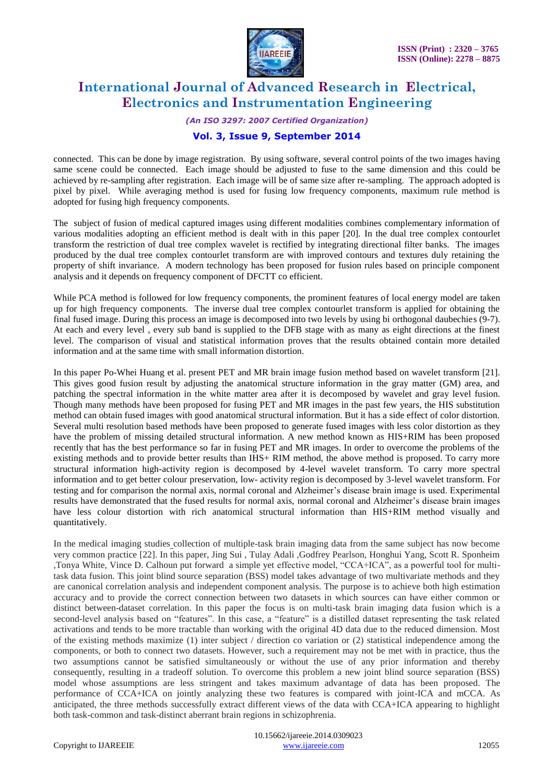

*(An ISO 3297: 2007 Certified Organization)*

### **Vol. 3, Issue 9, September 2014**

connected. This can be done by image registration. By using software, several control points of the two images having same scene could be connected. Each image should be adjusted to fuse to the same dimension and this could be achieved by re-sampling after registration. Each image will be of same size after re-sampling. The approach adopted is pixel by pixel. While averaging method is used for fusing low frequency components, maximum rule method is adopted for fusing high frequency components.

The subject of fusion of medical captured images using different modalities combines complementary information of various modalities adopting an efficient method is dealt with in this paper [20]. In the dual tree complex contourlet transform the restriction of dual tree complex wavelet is rectified by integrating directional filter banks. The images produced by the dual tree complex contourlet transform are with improved contours and textures duly retaining the property of shift invariance. A modern technology has been proposed for fusion rules based on principle component analysis and it depends on frequency component of DFCTT co efficient.

While PCA method is followed for low frequency components, the prominent features of local energy model are taken up for high frequency components. The inverse dual tree complex contourlet transform is applied for obtaining the final fused image. During this process an image is decomposed into two levels by using bi orthogonal daubechies (9-7). At each and every level , every sub band is supplied to the DFB stage with as many as eight directions at the finest level. The comparison of visual and statistical information proves that the results obtained contain more detailed information and at the same time with small information distortion.

In this paper [Po-Whei Huang](http://ieeexplore.ieee.org/search/searchresult.jsp?searchWithin=p_Authors:.QT.Po-Whei%20Huang.QT.&newsearch=true) et al. present PET and MR brain image fusion method based on wavelet transform [21]. This gives good fusion result by adjusting the anatomical structure information in the gray matter (GM) area, and patching the spectral information in the white matter area after it is decomposed by wavelet and gray level fusion. Though many methods have been proposed for fusing PET and MR images in the past few years, the HIS substitution method can obtain fused images with good anatomical structural information. But it has a side effect of color distortion. Several multi resolution based methods have been proposed to generate fused images with less color distortion as they have the problem of missing detailed structural information. A new method known as HIS+RIM has been proposed recently that has the best performance so far in fusing PET and MR images. In order to overcome the problems of the existing methods and to provide better results than IHS+ RIM method, the above method is proposed. To carry more structural information high-activity region is decomposed by 4-level wavelet transform. To carry more spectral information and to get better colour preservation, low- activity region is decomposed by 3-level wavelet transform. For testing and for comparison the normal axis, normal coronal and Alzheimer"s disease brain image is used. Experimental results have demonstrated that the fused results for normal axis, normal coronal and Alzheimer"s disease brain images have less colour distortion with rich anatomical structural information than HIS+RIM method visually and quantitatively.

In the medical imaging studies collection of multiple-task brain imaging data from the same subject has now become very common practice [22]. In this paper, Jing Sui , Tulay Adali ,Godfrey Pearlson, Honghui Yang, Scott R. Sponheim ,Tonya White, Vince D. Calhoun put forward a simple yet effective model, "CCA+ICA", as a powerful tool for multitask data fusion. This joint blind source separation (BSS) model takes advantage of two multivariate methods and they are canonical correlation analysis and independent component analysis. The purpose is to achieve both high estimation accuracy and to provide the correct connection between two datasets in which sources can have either common or distinct between-dataset correlation. In this paper the focus is on multi-task brain imaging data fusion which is a second-level analysis based on "features". In this case, a "feature" is a distilled dataset representing the task related activations and tends to be more tractable than working with the original 4D data due to the reduced dimension. Most of the existing methods maximize  $(1)$  inter subject / direction co variation or  $(2)$  statistical independence among the components, or both to connect two datasets. However, such a requirement may not be met with in practice, thus the two assumptions cannot be satisfied simultaneously or without the use of any prior information and thereby consequently, resulting in a tradeoff solution. To overcome this problem a new joint blind source separation (BSS) model whose assumptions are less stringent and takes maximum advantage of data has been proposed. The performance of CCA+ICA on jointly analyzing these two features is compared with joint-ICA and mCCA. As anticipated, the three methods successfully extract different views of the data with CCA+ICA appearing to highlight both task-common and task-distinct aberrant brain regions in schizophrenia.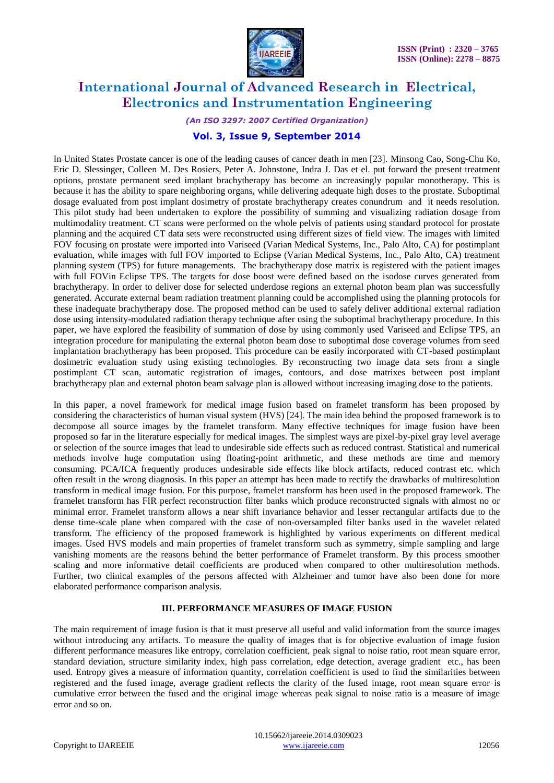

#### *(An ISO 3297: 2007 Certified Organization)*

### **Vol. 3, Issue 9, September 2014**

In United States Prostate cancer is one of the leading causes of cancer death in men [23]. Minsong Cao, Song-Chu Ko, Eric D. Slessinger, Colleen M. Des Rosiers, Peter A. Johnstone, Indra J. Das et el. put forward the present treatment options, prostate permanent seed implant brachytherapy has become an increasingly popular monotherapy. This is because it has the ability to spare neighboring organs, while delivering adequate high doses to the prostate. Suboptimal dosage evaluated from post implant dosimetry of prostate brachytherapy creates conundrum and it needs resolution. This pilot study had been undertaken to explore the possibility of summing and visualizing radiation dosage from multimodality treatment. CT scans were performed on the whole pelvis of patients using standard protocol for prostate planning and the acquired CT data sets were reconstructed using different sizes of field view. The images with limited FOV focusing on prostate were imported into Variseed (Varian Medical Systems, Inc., Palo Alto, CA) for postimplant evaluation, while images with full FOV imported to Eclipse (Varian Medical Systems, Inc., Palo Alto, CA) treatment planning system (TPS) for future managements. The brachytherapy dose matrix is registered with the patient images with full FOVin Eclipse TPS. The targets for dose boost were defined based on the isodose curves generated from brachytherapy. In order to deliver dose for selected underdose regions an external photon beam plan was successfully generated. Accurate external beam radiation treatment planning could be accomplished using the planning protocols for these inadequate brachytherapy dose. The proposed method can be used to safely deliver additional external radiation dose using intensity-modulated radiation therapy technique after using the suboptimal brachytherapy procedure. In this paper, we have explored the feasibility of summation of dose by using commonly used Variseed and Eclipse TPS, an integration procedure for manipulating the external photon beam dose to suboptimal dose coverage volumes from seed implantation brachytherapy has been proposed. This procedure can be easily incorporated with CT-based postimplant dosimetric evaluation study using existing technologies. By reconstructing two image data sets from a single postimplant CT scan, automatic registration of images, contours, and dose matrixes between post implant brachytherapy plan and external photon beam salvage plan is allowed without increasing imaging dose to the patients.

In this paper, a novel framework for medical image fusion based on framelet transform has been proposed by considering the characteristics of human visual system (HVS) [24]. The main idea behind the proposed framework is to decompose all source images by the framelet transform. Many effective techniques for image fusion have been proposed so far in the literature especially for medical images. The simplest ways are pixel-by-pixel gray level average or selection of the source images that lead to undesirable side effects such as reduced contrast. Statistical and numerical methods involve huge computation using floating-point arithmetic, and these methods are time and memory consuming. PCA/ICA frequently produces undesirable side effects like block artifacts, reduced contrast etc. which often result in the wrong diagnosis. In this paper an attempt has been made to rectify the drawbacks of multiresolution transform in medical image fusion. For this purpose, framelet transform has been used in the proposed framework. The framelet transform has FIR perfect reconstruction filter banks which produce reconstructed signals with almost no or minimal error. Framelet transform allows a near shift invariance behavior and lesser rectangular artifacts due to the dense time-scale plane when compared with the case of non-oversampled filter banks used in the wavelet related transform. The efficiency of the proposed framework is highlighted by various experiments on different medical images. Used HVS models and main properties of framelet transform such as symmetry, simple sampling and large vanishing moments are the reasons behind the better performance of Framelet transform. By this process smoother scaling and more informative detail coefficients are produced when compared to other multiresolution methods. Further, two clinical examples of the persons affected with Alzheimer and tumor have also been done for more elaborated performance comparison analysis.

#### **III. PERFORMANCE MEASURES OF IMAGE FUSION**

The main requirement of image fusion is that it must preserve all useful and valid information from the source images without introducing any artifacts. To measure the quality of images that is for objective evaluation of image fusion different performance measures like entropy, correlation coefficient, peak signal to noise ratio, root mean square error, standard deviation, structure similarity index, high pass correlation, edge detection, average gradient etc., has been used. Entropy gives a measure of information quantity, correlation coefficient is used to find the similarities between registered and the fused image, average gradient reflects the clarity of the fused image, root mean square error is cumulative error between the fused and the original image whereas peak signal to noise ratio is a measure of image error and so on.